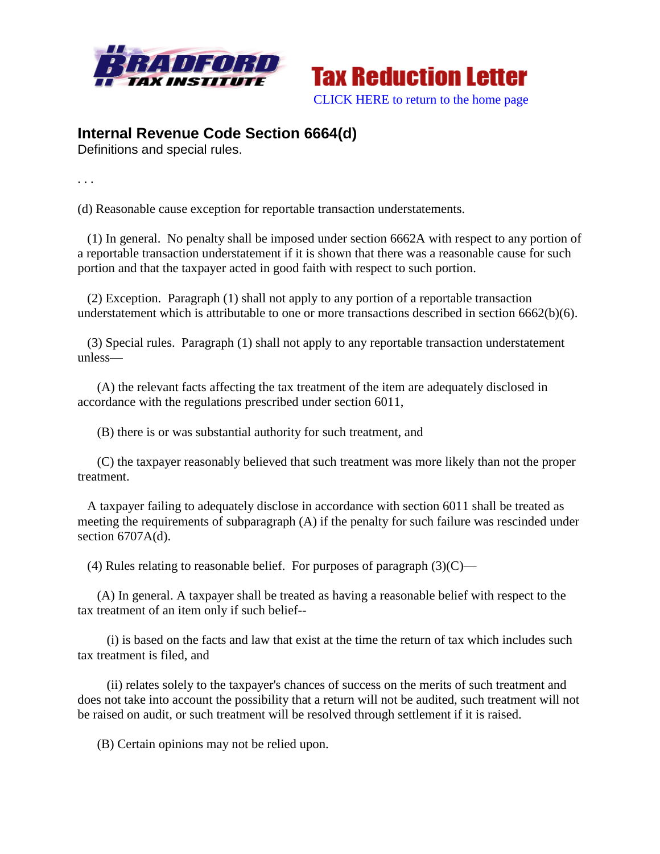



## **Internal Revenue Code Section 6664(d)**

Definitions and special rules.

. . .

(d) Reasonable cause exception for reportable transaction understatements.

 (1) In general. No penalty shall be imposed under section 6662A with respect to any portion of a reportable transaction understatement if it is shown that there was a reasonable cause for such portion and that the taxpayer acted in good faith with respect to such portion.

 (2) Exception. Paragraph (1) shall not apply to any portion of a reportable transaction understatement which is attributable to one or more transactions described in section 6662(b)(6).

 (3) Special rules. Paragraph (1) shall not apply to any reportable transaction understatement unless—

 (A) the relevant facts affecting the tax treatment of the item are adequately disclosed in accordance with the regulations prescribed under section 6011,

(B) there is or was substantial authority for such treatment, and

 (C) the taxpayer reasonably believed that such treatment was more likely than not the proper treatment.

 A taxpayer failing to adequately disclose in accordance with section 6011 shall be treated as meeting the requirements of subparagraph (A) if the penalty for such failure was rescinded under section 6707A(d).

(4) Rules relating to reasonable belief. For purposes of paragraph  $(3)(C)$ —

 (A) In general. A taxpayer shall be treated as having a reasonable belief with respect to the tax treatment of an item only if such belief--

 (i) is based on the facts and law that exist at the time the return of tax which includes such tax treatment is filed, and

 (ii) relates solely to the taxpayer's chances of success on the merits of such treatment and does not take into account the possibility that a return will not be audited, such treatment will not be raised on audit, or such treatment will be resolved through settlement if it is raised.

(B) Certain opinions may not be relied upon.